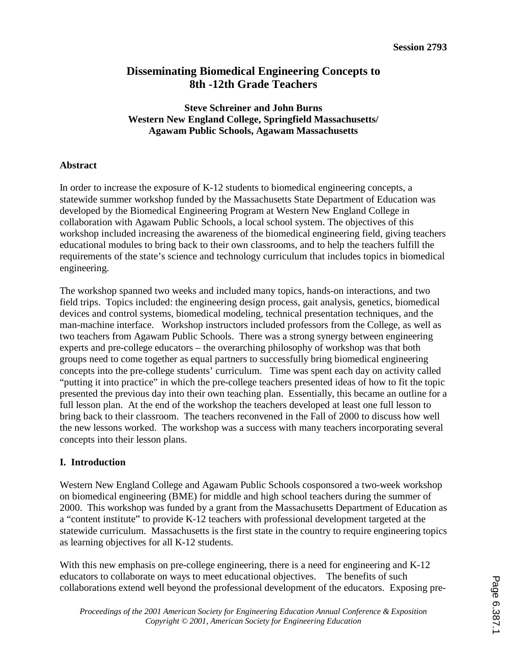# **Disseminating Biomedical Engineering Concepts to 8th -12th Grade Teachers**

### **Steve Schreiner and John Burns Western New England College, Springfield Massachusetts/ Agawam Public Schools, Agawam Massachusetts**

### **Abstract**

In order to increase the exposure of K-12 students to biomedical engineering concepts, a statewide summer workshop funded by the Massachusetts State Department of Education was developed by the Biomedical Engineering Program at Western New England College in collaboration with Agawam Public Schools, a local school system. The objectives of this workshop included increasing the awareness of the biomedical engineering field, giving teachers educational modules to bring back to their own classrooms, and to help the teachers fulfill the requirements of the state's science and technology curriculum that includes topics in biomedical engineering.

The workshop spanned two weeks and included many topics, hands-on interactions, and two field trips. Topics included: the engineering design process, gait analysis, genetics, biomedical devices and control systems, biomedical modeling, technical presentation techniques, and the man-machine interface. Workshop instructors included professors from the College, as well as two teachers from Agawam Public Schools. There was a strong synergy between engineering experts and pre-college educators – the overarching philosophy of workshop was that both groups need to come together as equal partners to successfully bring biomedical engineering concepts into the pre-college students' curriculum. Time was spent each day on activity called "putting it into practice" in which the pre-college teachers presented ideas of how to fit the topic presented the previous day into their own teaching plan. Essentially, this became an outline for a full lesson plan. At the end of the workshop the teachers developed at least one full lesson to bring back to their classroom. The teachers reconvened in the Fall of 2000 to discuss how well the new lessons worked. The workshop was a success with many teachers incorporating several concepts into their lesson plans.

### **I. Introduction**

Western New England College and Agawam Public Schools cosponsored a two-week workshop on biomedical engineering (BME) for middle and high school teachers during the summer of 2000. This workshop was funded by a grant from the Massachusetts Department of Education as a "content institute" to provide K-12 teachers with professional development targeted at the statewide curriculum. Massachusetts is the first state in the country to require engineering topics as learning objectives for all K-12 students.

With this new emphasis on pre-college engineering, there is a need for engineering and K-12 educators to collaborate on ways to meet educational objectives. The benefits of such collaborations extend well beyond the professional development of the educators. Exposing pre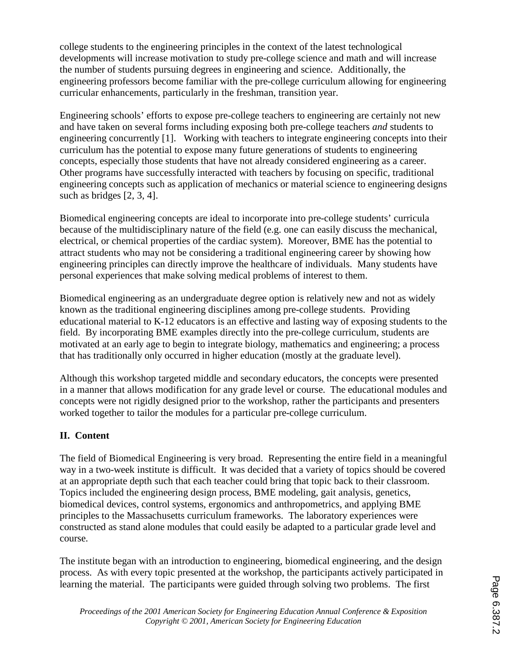college students to the engineering principles in the context of the latest technological developments will increase motivation to study pre-college science and math and will increase the number of students pursuing degrees in engineering and science. Additionally, the engineering professors become familiar with the pre-college curriculum allowing for engineering curricular enhancements, particularly in the freshman, transition year.

Engineering schools' efforts to expose pre-college teachers to engineering are certainly not new and have taken on several forms including exposing both pre-college teachers *and* students to engineering concurrently [1]. Working with teachers to integrate engineering concepts into their curriculum has the potential to expose many future generations of students to engineering concepts, especially those students that have not already considered engineering as a career. Other programs have successfully interacted with teachers by focusing on specific, traditional engineering concepts such as application of mechanics or material science to engineering designs such as bridges [2, 3, 4].

Biomedical engineering concepts are ideal to incorporate into pre-college students' curricula because of the multidisciplinary nature of the field (e.g. one can easily discuss the mechanical, electrical, or chemical properties of the cardiac system). Moreover, BME has the potential to attract students who may not be considering a traditional engineering career by showing how engineering principles can directly improve the healthcare of individuals. Many students have personal experiences that make solving medical problems of interest to them.

Biomedical engineering as an undergraduate degree option is relatively new and not as widely known as the traditional engineering disciplines among pre-college students. Providing educational material to K-12 educators is an effective and lasting way of exposing students to the field. By incorporating BME examples directly into the pre-college curriculum, students are motivated at an early age to begin to integrate biology, mathematics and engineering; a process that has traditionally only occurred in higher education (mostly at the graduate level).

Although this workshop targeted middle and secondary educators, the concepts were presented in a manner that allows modification for any grade level or course. The educational modules and concepts were not rigidly designed prior to the workshop, rather the participants and presenters worked together to tailor the modules for a particular pre-college curriculum.

# **II. Content**

The field of Biomedical Engineering is very broad. Representing the entire field in a meaningful way in a two-week institute is difficult. It was decided that a variety of topics should be covered at an appropriate depth such that each teacher could bring that topic back to their classroom. Topics included the engineering design process, BME modeling, gait analysis, genetics, biomedical devices, control systems, ergonomics and anthropometrics, and applying BME principles to the Massachusetts curriculum frameworks. The laboratory experiences were constructed as stand alone modules that could easily be adapted to a particular grade level and course.

The institute began with an introduction to engineering, biomedical engineering, and the design process. As with every topic presented at the workshop, the participants actively participated in learning the material. The participants were guided through solving two problems. The first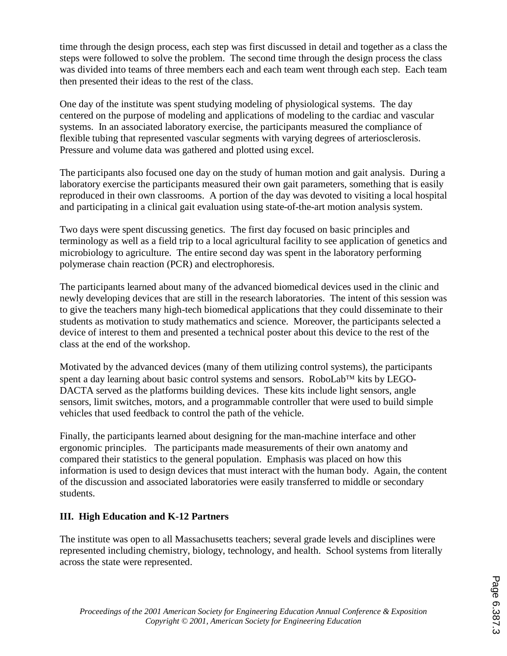time through the design process, each step was first discussed in detail and together as a class the steps were followed to solve the problem. The second time through the design process the class was divided into teams of three members each and each team went through each step. Each team then presented their ideas to the rest of the class.

One day of the institute was spent studying modeling of physiological systems. The day centered on the purpose of modeling and applications of modeling to the cardiac and vascular systems. In an associated laboratory exercise, the participants measured the compliance of flexible tubing that represented vascular segments with varying degrees of arteriosclerosis. Pressure and volume data was gathered and plotted using excel.

The participants also focused one day on the study of human motion and gait analysis. During a laboratory exercise the participants measured their own gait parameters, something that is easily reproduced in their own classrooms. A portion of the day was devoted to visiting a local hospital and participating in a clinical gait evaluation using state-of-the-art motion analysis system.

Two days were spent discussing genetics. The first day focused on basic principles and terminology as well as a field trip to a local agricultural facility to see application of genetics and microbiology to agriculture. The entire second day was spent in the laboratory performing polymerase chain reaction (PCR) and electrophoresis.

The participants learned about many of the advanced biomedical devices used in the clinic and newly developing devices that are still in the research laboratories. The intent of this session was to give the teachers many high-tech biomedical applications that they could disseminate to their students as motivation to study mathematics and science. Moreover, the participants selected a device of interest to them and presented a technical poster about this device to the rest of the class at the end of the workshop.

Motivated by the advanced devices (many of them utilizing control systems), the participants spent a day learning about basic control systems and sensors. RoboLab<sup>TM</sup> kits by LEGO-DACTA served as the platforms building devices. These kits include light sensors, angle sensors, limit switches, motors, and a programmable controller that were used to build simple vehicles that used feedback to control the path of the vehicle.

Finally, the participants learned about designing for the man-machine interface and other ergonomic principles. The participants made measurements of their own anatomy and compared their statistics to the general population. Emphasis was placed on how this information is used to design devices that must interact with the human body. Again, the content of the discussion and associated laboratories were easily transferred to middle or secondary students.

## **III. High Education and K-12 Partners**

The institute was open to all Massachusetts teachers; several grade levels and disciplines were represented including chemistry, biology, technology, and health. School systems from literally across the state were represented.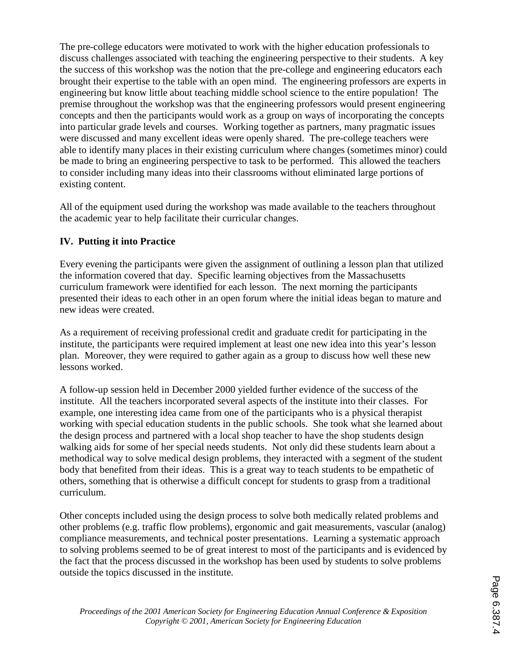The pre-college educators were motivated to work with the higher education professionals to discuss challenges associated with teaching the engineering perspective to their students. A key the success of this workshop was the notion that the pre-college and engineering educators each brought their expertise to the table with an open mind. The engineering professors are experts in engineering but know little about teaching middle school science to the entire population! The premise throughout the workshop was that the engineering professors would present engineering concepts and then the participants would work as a group on ways of incorporating the concepts into particular grade levels and courses. Working together as partners, many pragmatic issues were discussed and many excellent ideas were openly shared. The pre-college teachers were able to identify many places in their existing curriculum where changes (sometimes minor) could be made to bring an engineering perspective to task to be performed. This allowed the teachers to consider including many ideas into their classrooms without eliminated large portions of existing content.

All of the equipment used during the workshop was made available to the teachers throughout the academic year to help facilitate their curricular changes.

## **IV. Putting it into Practice**

Every evening the participants were given the assignment of outlining a lesson plan that utilized the information covered that day. Specific learning objectives from the Massachusetts curriculum framework were identified for each lesson. The next morning the participants presented their ideas to each other in an open forum where the initial ideas began to mature and new ideas were created.

As a requirement of receiving professional credit and graduate credit for participating in the institute, the participants were required implement at least one new idea into this year's lesson plan. Moreover, they were required to gather again as a group to discuss how well these new lessons worked.

A follow-up session held in December 2000 yielded further evidence of the success of the institute. All the teachers incorporated several aspects of the institute into their classes. For example, one interesting idea came from one of the participants who is a physical therapist working with special education students in the public schools. She took what she learned about the design process and partnered with a local shop teacher to have the shop students design walking aids for some of her special needs students. Not only did these students learn about a methodical way to solve medical design problems, they interacted with a segment of the student body that benefited from their ideas. This is a great way to teach students to be empathetic of others, something that is otherwise a difficult concept for students to grasp from a traditional curriculum.

Other concepts included using the design process to solve both medically related problems and other problems (e.g. traffic flow problems), ergonomic and gait measurements, vascular (analog) compliance measurements, and technical poster presentations. Learning a systematic approach to solving problems seemed to be of great interest to most of the participants and is evidenced by the fact that the process discussed in the workshop has been used by students to solve problems outside the topics discussed in the institute.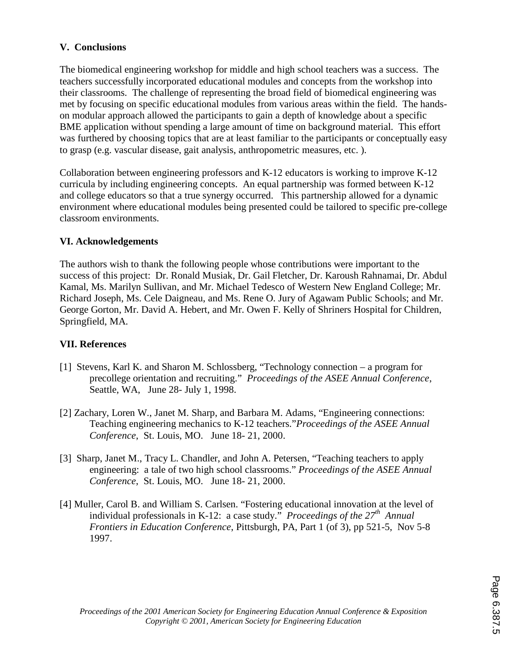## **V. Conclusions**

The biomedical engineering workshop for middle and high school teachers was a success. The teachers successfully incorporated educational modules and concepts from the workshop into their classrooms. The challenge of representing the broad field of biomedical engineering was met by focusing on specific educational modules from various areas within the field. The handson modular approach allowed the participants to gain a depth of knowledge about a specific BME application without spending a large amount of time on background material. This effort was furthered by choosing topics that are at least familiar to the participants or conceptually easy to grasp (e.g. vascular disease, gait analysis, anthropometric measures, etc. ).

Collaboration between engineering professors and K-12 educators is working to improve K-12 curricula by including engineering concepts. An equal partnership was formed between K-12 and college educators so that a true synergy occurred. This partnership allowed for a dynamic environment where educational modules being presented could be tailored to specific pre-college classroom environments.

## **VI. Acknowledgements**

The authors wish to thank the following people whose contributions were important to the success of this project: Dr. Ronald Musiak, Dr. Gail Fletcher, Dr. Karoush Rahnamai, Dr. Abdul Kamal, Ms. Marilyn Sullivan, and Mr. Michael Tedesco of Western New England College; Mr. Richard Joseph, Ms. Cele Daigneau, and Ms. Rene O. Jury of Agawam Public Schools; and Mr. George Gorton, Mr. David A. Hebert, and Mr. Owen F. Kelly of Shriners Hospital for Children, Springfield, MA.

## **VII. References**

- [1] Stevens, Karl K. and Sharon M. Schlossberg, "Technology connection a program for precollege orientation and recruiting." *Proceedings of the ASEE Annual Conference*, Seattle, WA, June 28- July 1, 1998.
- [2] Zachary, Loren W., Janet M. Sharp, and Barbara M. Adams, "Engineering connections: Teaching engineering mechanics to K-12 teachers."*Proceedings of the ASEE Annual Conference*, St. Louis, MO. June 18- 21, 2000.
- [3] Sharp, Janet M., Tracy L. Chandler, and John A. Petersen, "Teaching teachers to apply engineering: a tale of two high school classrooms." *Proceedings of the ASEE Annual Conference*, St. Louis, MO. June 18- 21, 2000.
- [4] Muller, Carol B. and William S. Carlsen. "Fostering educational innovation at the level of individual professionals in K-12: a case study." *Proceedings of the 27th Annual Frontiers in Education Conference*, Pittsburgh, PA, Part 1 (of 3), pp 521-5, Nov 5-8 1997.